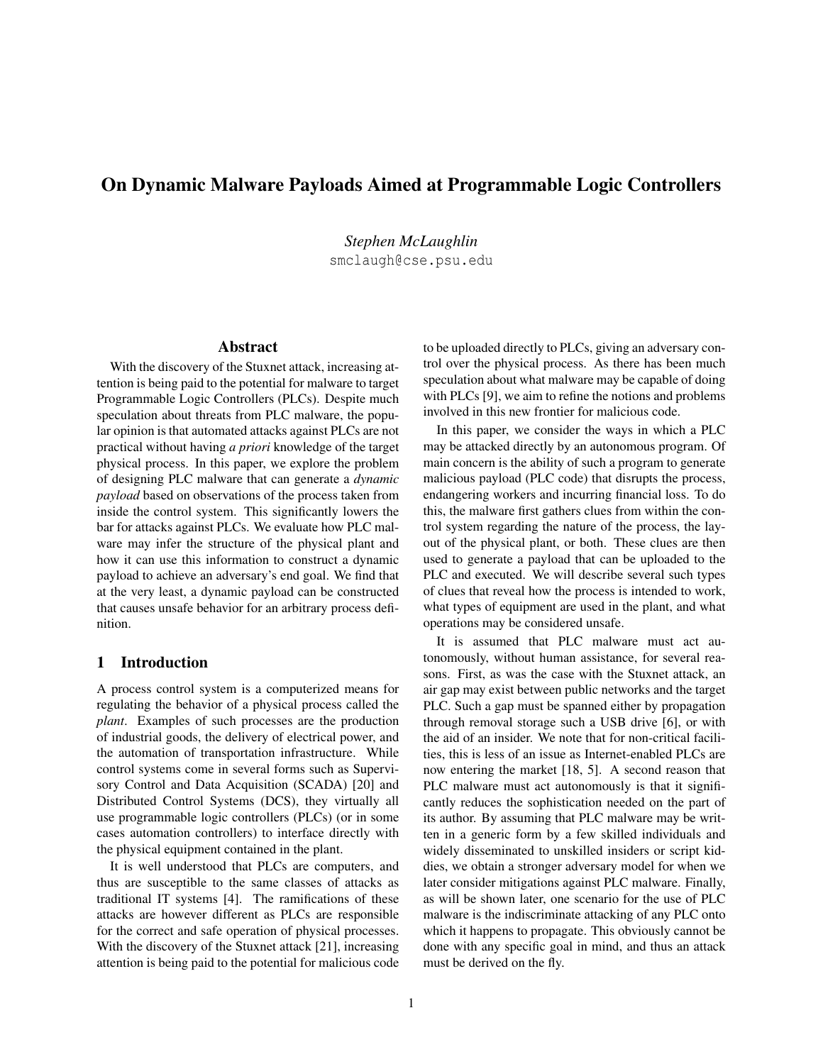# On Dynamic Malware Payloads Aimed at Programmable Logic Controllers

*Stephen McLaughlin* smclaugh@cse.psu.edu

#### Abstract

With the discovery of the Stuxnet attack, increasing attention is being paid to the potential for malware to target Programmable Logic Controllers (PLCs). Despite much speculation about threats from PLC malware, the popular opinion is that automated attacks against PLCs are not practical without having *a priori* knowledge of the target physical process. In this paper, we explore the problem of designing PLC malware that can generate a *dynamic payload* based on observations of the process taken from inside the control system. This significantly lowers the bar for attacks against PLCs. We evaluate how PLC malware may infer the structure of the physical plant and how it can use this information to construct a dynamic payload to achieve an adversary's end goal. We find that at the very least, a dynamic payload can be constructed that causes unsafe behavior for an arbitrary process definition.

## 1 Introduction

A process control system is a computerized means for regulating the behavior of a physical process called the *plant*. Examples of such processes are the production of industrial goods, the delivery of electrical power, and the automation of transportation infrastructure. While control systems come in several forms such as Supervisory Control and Data Acquisition (SCADA) [20] and Distributed Control Systems (DCS), they virtually all use programmable logic controllers (PLCs) (or in some cases automation controllers) to interface directly with the physical equipment contained in the plant.

It is well understood that PLCs are computers, and thus are susceptible to the same classes of attacks as traditional IT systems [4]. The ramifications of these attacks are however different as PLCs are responsible for the correct and safe operation of physical processes. With the discovery of the Stuxnet attack [21], increasing attention is being paid to the potential for malicious code to be uploaded directly to PLCs, giving an adversary control over the physical process. As there has been much speculation about what malware may be capable of doing with PLCs [9], we aim to refine the notions and problems involved in this new frontier for malicious code.

In this paper, we consider the ways in which a PLC may be attacked directly by an autonomous program. Of main concern is the ability of such a program to generate malicious payload (PLC code) that disrupts the process, endangering workers and incurring financial loss. To do this, the malware first gathers clues from within the control system regarding the nature of the process, the layout of the physical plant, or both. These clues are then used to generate a payload that can be uploaded to the PLC and executed. We will describe several such types of clues that reveal how the process is intended to work, what types of equipment are used in the plant, and what operations may be considered unsafe.

It is assumed that PLC malware must act autonomously, without human assistance, for several reasons. First, as was the case with the Stuxnet attack, an air gap may exist between public networks and the target PLC. Such a gap must be spanned either by propagation through removal storage such a USB drive [6], or with the aid of an insider. We note that for non-critical facilities, this is less of an issue as Internet-enabled PLCs are now entering the market [18, 5]. A second reason that PLC malware must act autonomously is that it significantly reduces the sophistication needed on the part of its author. By assuming that PLC malware may be written in a generic form by a few skilled individuals and widely disseminated to unskilled insiders or script kiddies, we obtain a stronger adversary model for when we later consider mitigations against PLC malware. Finally, as will be shown later, one scenario for the use of PLC malware is the indiscriminate attacking of any PLC onto which it happens to propagate. This obviously cannot be done with any specific goal in mind, and thus an attack must be derived on the fly.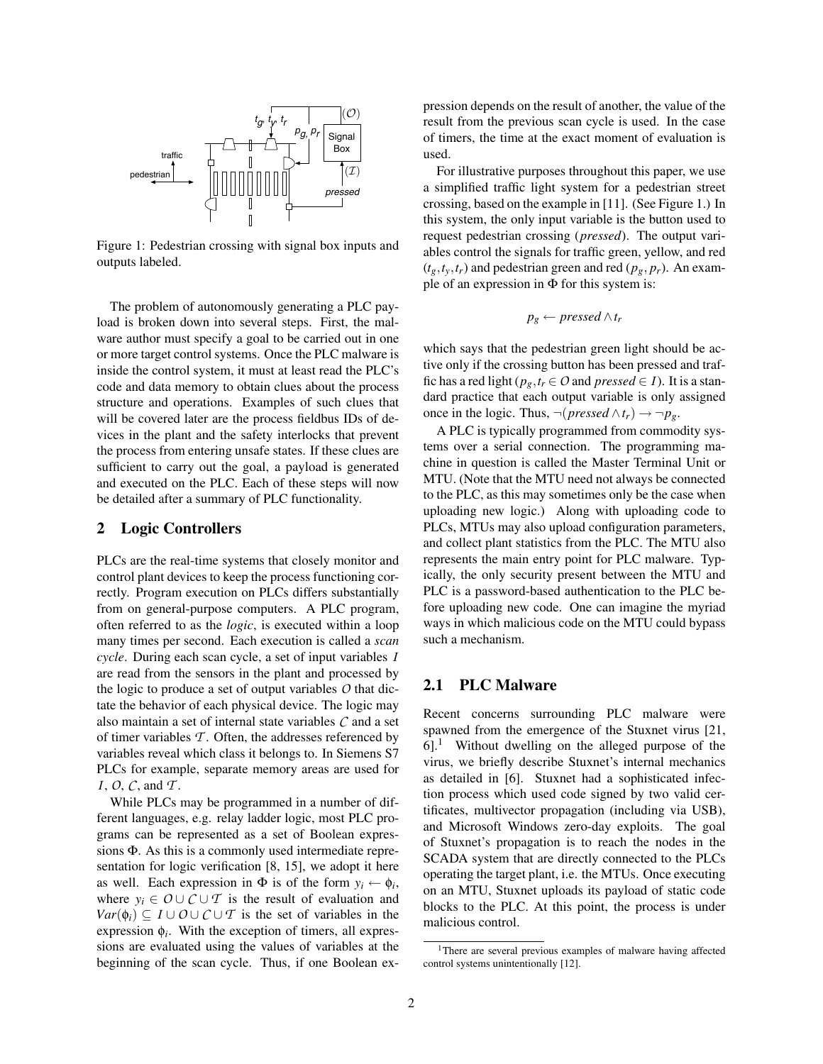

Figure 1: Pedestrian crossing with signal box inputs and outputs labeled.

The problem of autonomously generating a PLC payload is broken down into several steps. First, the malware author must specify a goal to be carried out in one or more target control systems. Once the PLC malware is inside the control system, it must at least read the PLC's code and data memory to obtain clues about the process structure and operations. Examples of such clues that will be covered later are the process fieldbus IDs of devices in the plant and the safety interlocks that prevent the process from entering unsafe states. If these clues are sufficient to carry out the goal, a payload is generated and executed on the PLC. Each of these steps will now be detailed after a summary of PLC functionality.

## 2 Logic Controllers

PLCs are the real-time systems that closely monitor and control plant devices to keep the process functioning correctly. Program execution on PLCs differs substantially from on general-purpose computers. A PLC program, often referred to as the *logic*, is executed within a loop many times per second. Each execution is called a *scan cycle*. During each scan cycle, a set of input variables *I* are read from the sensors in the plant and processed by the logic to produce a set of output variables *O* that dictate the behavior of each physical device. The logic may also maintain a set of internal state variables *C* and a set of timer variables *T* . Often, the addresses referenced by variables reveal which class it belongs to. In Siemens S7 PLCs for example, separate memory areas are used for *I*, *O*, *C*, and *T* .

While PLCs may be programmed in a number of different languages, e.g. relay ladder logic, most PLC programs can be represented as a set of Boolean expressions Φ. As this is a commonly used intermediate representation for logic verification [8, 15], we adopt it here as well. Each expression in  $\Phi$  is of the form  $y_i \leftarrow \phi_i$ , where  $y_i \in O \cup C \cup T$  is the result of evaluation and *Var*( $\phi$ *i*) ⊆ *I* ∪ *O* ∪ *C* ∪ *T* is the set of variables in the expression  $\phi_i$ . With the exception of timers, all expressions are evaluated using the values of variables at the beginning of the scan cycle. Thus, if one Boolean expression depends on the result of another, the value of the result from the previous scan cycle is used. In the case of timers, the time at the exact moment of evaluation is used.

For illustrative purposes throughout this paper, we use a simplified traffic light system for a pedestrian street crossing, based on the example in [11]. (See Figure 1.) In this system, the only input variable is the button used to request pedestrian crossing (*pressed*). The output variables control the signals for traffic green, yellow, and red  $(t_g, t_v, t_r)$  and pedestrian green and red  $(p_g, p_r)$ . An example of an expression in Φ for this system is:

$$
p_g \leftarrow pressed \wedge t_r
$$

which says that the pedestrian green light should be active only if the crossing button has been pressed and traffic has a red light ( $p_g$ ,  $t_r \in O$  and  $presed \in I$ ). It is a standard practice that each output variable is only assigned once in the logic. Thus,  $\neg (pressed \land t_r) \rightarrow \neg p_g$ .

A PLC is typically programmed from commodity systems over a serial connection. The programming machine in question is called the Master Terminal Unit or MTU. (Note that the MTU need not always be connected to the PLC, as this may sometimes only be the case when uploading new logic.) Along with uploading code to PLCs, MTUs may also upload configuration parameters, and collect plant statistics from the PLC. The MTU also represents the main entry point for PLC malware. Typically, the only security present between the MTU and PLC is a password-based authentication to the PLC before uploading new code. One can imagine the myriad ways in which malicious code on the MTU could bypass such a mechanism.

# 2.1 PLC Malware

Recent concerns surrounding PLC malware were spawned from the emergence of the Stuxnet virus [21, 6].<sup>1</sup> Without dwelling on the alleged purpose of the virus, we briefly describe Stuxnet's internal mechanics as detailed in [6]. Stuxnet had a sophisticated infection process which used code signed by two valid certificates, multivector propagation (including via USB), and Microsoft Windows zero-day exploits. The goal of Stuxnet's propagation is to reach the nodes in the SCADA system that are directly connected to the PLCs operating the target plant, i.e. the MTUs. Once executing on an MTU, Stuxnet uploads its payload of static code blocks to the PLC. At this point, the process is under malicious control.

<sup>&</sup>lt;sup>1</sup>There are several previous examples of malware having affected control systems unintentionally [12].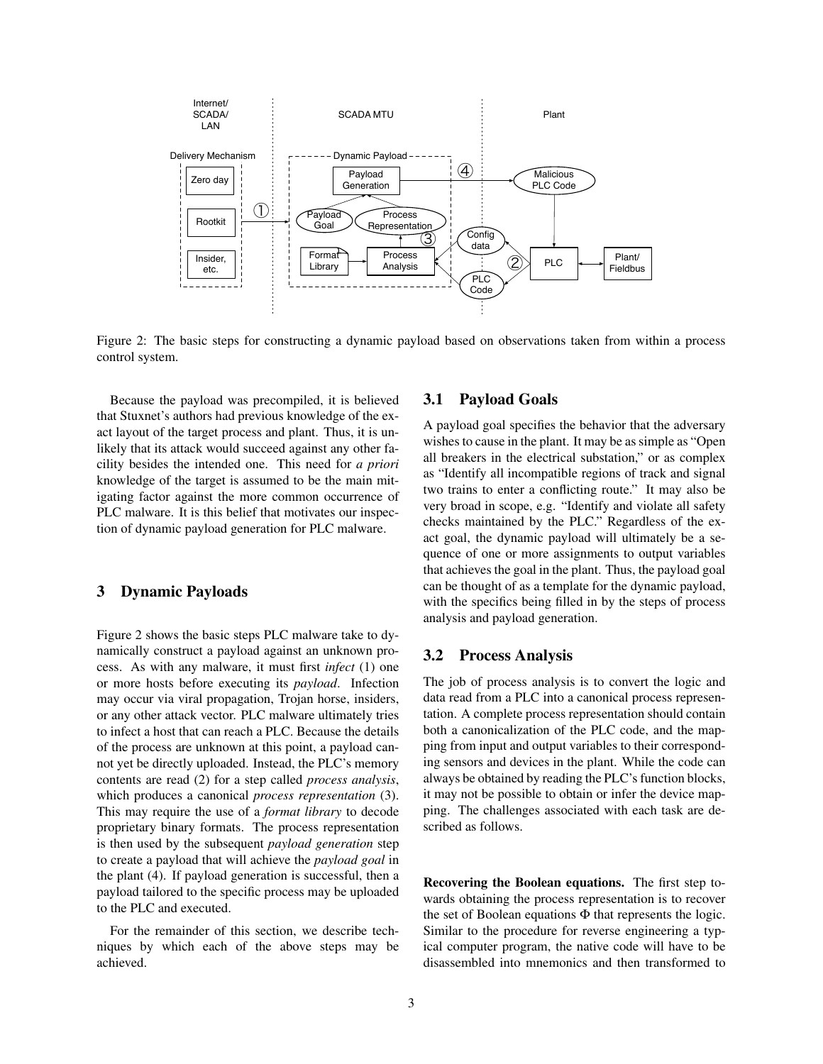

Figure 2: The basic steps for constructing a dynamic payload based on observations taken from within a process control system.

Because the payload was precompiled, it is believed that Stuxnet's authors had previous knowledge of the exact layout of the target process and plant. Thus, it is unlikely that its attack would succeed against any other facility besides the intended one. This need for *a priori* knowledge of the target is assumed to be the main mitigating factor against the more common occurrence of PLC malware. It is this belief that motivates our inspection of dynamic payload generation for PLC malware.

# 3 Dynamic Payloads

Figure 2 shows the basic steps PLC malware take to dynamically construct a payload against an unknown process. As with any malware, it must first *infect* (1) one or more hosts before executing its *payload*. Infection may occur via viral propagation, Trojan horse, insiders, or any other attack vector. PLC malware ultimately tries to infect a host that can reach a PLC. Because the details of the process are unknown at this point, a payload cannot yet be directly uploaded. Instead, the PLC's memory contents are read (2) for a step called *process analysis*, which produces a canonical *process representation* (3). This may require the use of a *format library* to decode proprietary binary formats. The process representation is then used by the subsequent *payload generation* step to create a payload that will achieve the *payload goal* in the plant (4). If payload generation is successful, then a payload tailored to the specific process may be uploaded to the PLC and executed.

For the remainder of this section, we describe techniques by which each of the above steps may be achieved.

#### 3.1 Payload Goals

A payload goal specifies the behavior that the adversary wishes to cause in the plant. It may be as simple as "Open all breakers in the electrical substation," or as complex as "Identify all incompatible regions of track and signal two trains to enter a conflicting route." It may also be very broad in scope, e.g. "Identify and violate all safety checks maintained by the PLC." Regardless of the exact goal, the dynamic payload will ultimately be a sequence of one or more assignments to output variables that achieves the goal in the plant. Thus, the payload goal can be thought of as a template for the dynamic payload, with the specifics being filled in by the steps of process analysis and payload generation.

# 3.2 Process Analysis

The job of process analysis is to convert the logic and data read from a PLC into a canonical process representation. A complete process representation should contain both a canonicalization of the PLC code, and the mapping from input and output variables to their corresponding sensors and devices in the plant. While the code can always be obtained by reading the PLC's function blocks, it may not be possible to obtain or infer the device mapping. The challenges associated with each task are described as follows.

Recovering the Boolean equations. The first step towards obtaining the process representation is to recover the set of Boolean equations Φ that represents the logic. Similar to the procedure for reverse engineering a typical computer program, the native code will have to be disassembled into mnemonics and then transformed to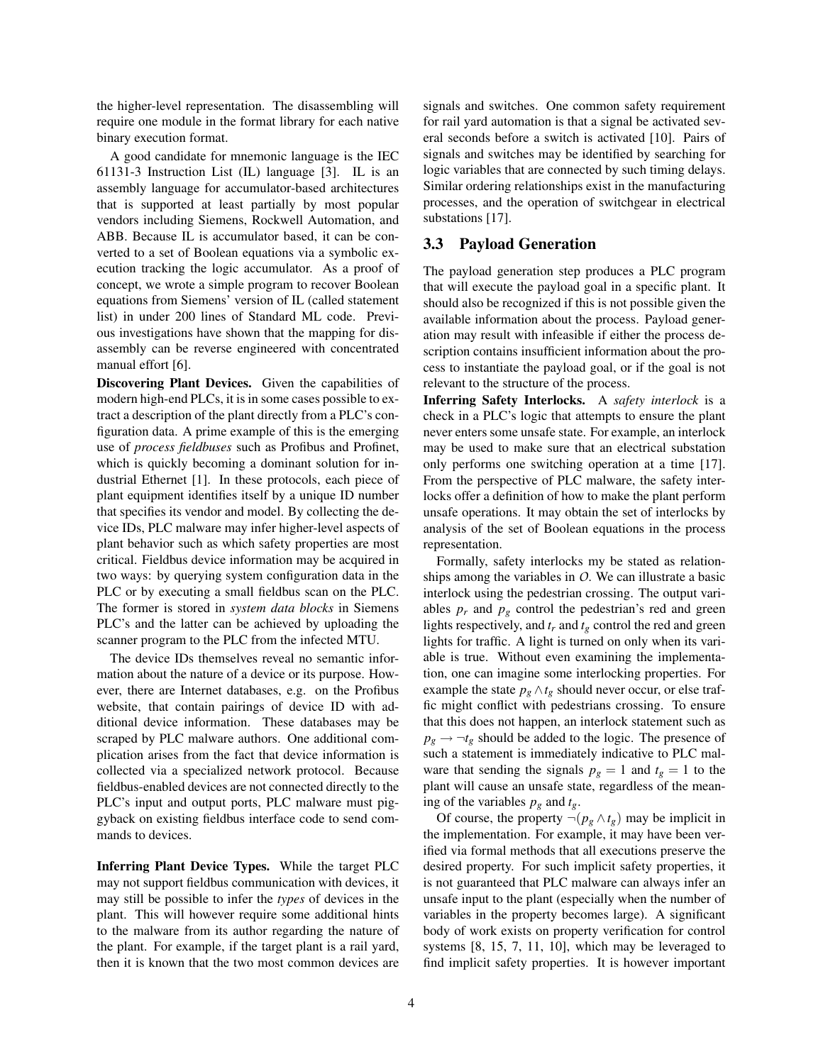the higher-level representation. The disassembling will require one module in the format library for each native binary execution format.

A good candidate for mnemonic language is the IEC 61131-3 Instruction List (IL) language [3]. IL is an assembly language for accumulator-based architectures that is supported at least partially by most popular vendors including Siemens, Rockwell Automation, and ABB. Because IL is accumulator based, it can be converted to a set of Boolean equations via a symbolic execution tracking the logic accumulator. As a proof of concept, we wrote a simple program to recover Boolean equations from Siemens' version of IL (called statement list) in under 200 lines of Standard ML code. Previous investigations have shown that the mapping for disassembly can be reverse engineered with concentrated manual effort [6].

Discovering Plant Devices. Given the capabilities of modern high-end PLCs, it is in some cases possible to extract a description of the plant directly from a PLC's configuration data. A prime example of this is the emerging use of *process fieldbuses* such as Profibus and Profinet, which is quickly becoming a dominant solution for industrial Ethernet [1]. In these protocols, each piece of plant equipment identifies itself by a unique ID number that specifies its vendor and model. By collecting the device IDs, PLC malware may infer higher-level aspects of plant behavior such as which safety properties are most critical. Fieldbus device information may be acquired in two ways: by querying system configuration data in the PLC or by executing a small fieldbus scan on the PLC. The former is stored in *system data blocks* in Siemens PLC's and the latter can be achieved by uploading the scanner program to the PLC from the infected MTU.

The device IDs themselves reveal no semantic information about the nature of a device or its purpose. However, there are Internet databases, e.g. on the Profibus website, that contain pairings of device ID with additional device information. These databases may be scraped by PLC malware authors. One additional complication arises from the fact that device information is collected via a specialized network protocol. Because fieldbus-enabled devices are not connected directly to the PLC's input and output ports, PLC malware must piggyback on existing fieldbus interface code to send commands to devices.

Inferring Plant Device Types. While the target PLC may not support fieldbus communication with devices, it may still be possible to infer the *types* of devices in the plant. This will however require some additional hints to the malware from its author regarding the nature of the plant. For example, if the target plant is a rail yard, then it is known that the two most common devices are signals and switches. One common safety requirement for rail yard automation is that a signal be activated several seconds before a switch is activated [10]. Pairs of signals and switches may be identified by searching for logic variables that are connected by such timing delays. Similar ordering relationships exist in the manufacturing processes, and the operation of switchgear in electrical substations [17].

# 3.3 Payload Generation

The payload generation step produces a PLC program that will execute the payload goal in a specific plant. It should also be recognized if this is not possible given the available information about the process. Payload generation may result with infeasible if either the process description contains insufficient information about the process to instantiate the payload goal, or if the goal is not relevant to the structure of the process.

Inferring Safety Interlocks. A *safety interlock* is a check in a PLC's logic that attempts to ensure the plant never enters some unsafe state. For example, an interlock may be used to make sure that an electrical substation only performs one switching operation at a time [17]. From the perspective of PLC malware, the safety interlocks offer a definition of how to make the plant perform unsafe operations. It may obtain the set of interlocks by analysis of the set of Boolean equations in the process representation.

Formally, safety interlocks my be stated as relationships among the variables in *O*. We can illustrate a basic interlock using the pedestrian crossing. The output variables  $p_r$  and  $p_g$  control the pedestrian's red and green lights respectively, and  $t_r$  and  $t_g$  control the red and green lights for traffic. A light is turned on only when its variable is true. Without even examining the implementation, one can imagine some interlocking properties. For example the state  $p_g \wedge t_g$  should never occur, or else traffic might conflict with pedestrians crossing. To ensure that this does not happen, an interlock statement such as  $p_g \rightarrow \neg t_g$  should be added to the logic. The presence of such a statement is immediately indicative to PLC malware that sending the signals  $p_g = 1$  and  $t_g = 1$  to the plant will cause an unsafe state, regardless of the meaning of the variables  $p_g$  and  $t_g$ .

Of course, the property  $\neg (p_g \land t_g)$  may be implicit in the implementation. For example, it may have been verified via formal methods that all executions preserve the desired property. For such implicit safety properties, it is not guaranteed that PLC malware can always infer an unsafe input to the plant (especially when the number of variables in the property becomes large). A significant body of work exists on property verification for control systems [8, 15, 7, 11, 10], which may be leveraged to find implicit safety properties. It is however important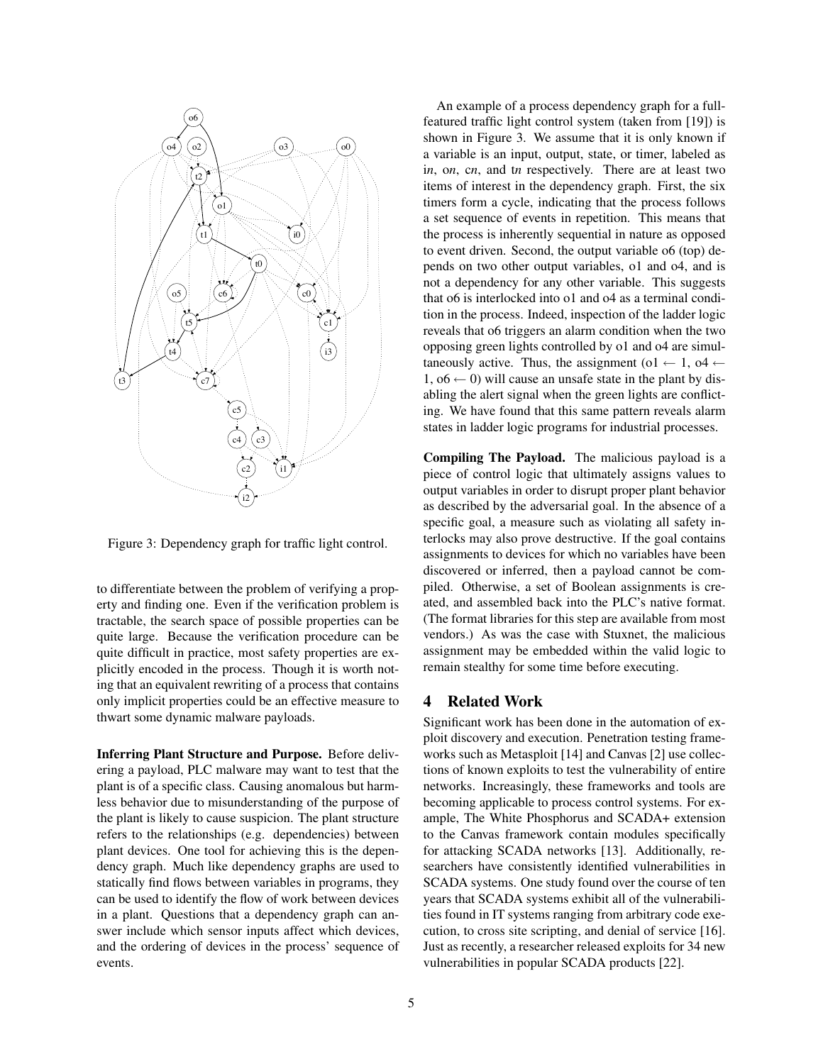

Figure 3: Dependency graph for traffic light control.

to differentiate between the problem of verifying a property and finding one. Even if the verification problem is tractable, the search space of possible properties can be quite large. Because the verification procedure can be quite difficult in practice, most safety properties are explicitly encoded in the process. Though it is worth noting that an equivalent rewriting of a process that contains only implicit properties could be an effective measure to thwart some dynamic malware payloads.

Inferring Plant Structure and Purpose. Before delivering a payload, PLC malware may want to test that the plant is of a specific class. Causing anomalous but harmless behavior due to misunderstanding of the purpose of the plant is likely to cause suspicion. The plant structure refers to the relationships (e.g. dependencies) between plant devices. One tool for achieving this is the dependency graph. Much like dependency graphs are used to statically find flows between variables in programs, they can be used to identify the flow of work between devices in a plant. Questions that a dependency graph can answer include which sensor inputs affect which devices, and the ordering of devices in the process' sequence of events.

An example of a process dependency graph for a fullfeatured traffic light control system (taken from [19]) is shown in Figure 3. We assume that it is only known if a variable is an input, output, state, or timer, labeled as i*n*, o*n*, c*n*, and t*n* respectively. There are at least two items of interest in the dependency graph. First, the six timers form a cycle, indicating that the process follows a set sequence of events in repetition. This means that the process is inherently sequential in nature as opposed to event driven. Second, the output variable o6 (top) depends on two other output variables, o1 and o4, and is not a dependency for any other variable. This suggests that o6 is interlocked into o1 and o4 as a terminal condition in the process. Indeed, inspection of the ladder logic reveals that o6 triggers an alarm condition when the two opposing green lights controlled by o1 and o4 are simultaneously active. Thus, the assignment (o1  $\leftarrow$  1, o4  $\leftarrow$ 1,  $06 \leftarrow 0$ ) will cause an unsafe state in the plant by disabling the alert signal when the green lights are conflicting. We have found that this same pattern reveals alarm states in ladder logic programs for industrial processes.

Compiling The Payload. The malicious payload is a piece of control logic that ultimately assigns values to output variables in order to disrupt proper plant behavior as described by the adversarial goal. In the absence of a specific goal, a measure such as violating all safety interlocks may also prove destructive. If the goal contains assignments to devices for which no variables have been discovered or inferred, then a payload cannot be compiled. Otherwise, a set of Boolean assignments is created, and assembled back into the PLC's native format. (The format libraries for this step are available from most vendors.) As was the case with Stuxnet, the malicious assignment may be embedded within the valid logic to remain stealthy for some time before executing.

#### 4 Related Work

Significant work has been done in the automation of exploit discovery and execution. Penetration testing frameworks such as Metasploit [14] and Canvas [2] use collections of known exploits to test the vulnerability of entire networks. Increasingly, these frameworks and tools are becoming applicable to process control systems. For example, The White Phosphorus and SCADA+ extension to the Canvas framework contain modules specifically for attacking SCADA networks [13]. Additionally, researchers have consistently identified vulnerabilities in SCADA systems. One study found over the course of ten years that SCADA systems exhibit all of the vulnerabilities found in IT systems ranging from arbitrary code execution, to cross site scripting, and denial of service [16]. Just as recently, a researcher released exploits for 34 new vulnerabilities in popular SCADA products [22].